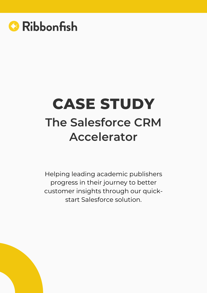

# **The Salesforce CRM Accelerator CASE STUDY**

Helping leading academic publishers progress in their journey to better customer insights through our quickstart Salesforce solution.

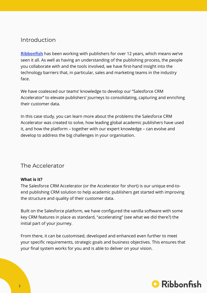## Introduction

**[Ribbonfish](https://ribbonfish.co.uk/)** has been working with publishers for over 12 years, which means we've seen it all. As well as having an understanding of the publishing process, the people you collaborate with and the tools involved, we have first-hand insight into the technology barriers that, in particular, sales and marketing teams in the industry face.

We have coalesced our teams' knowledge to develop our "Salesforce CRM Accelerator" to elevate publishers' journeys to consolidating, capturing and enriching their customer data.

In this case study, you can learn more about the problems the Salesforce CRM Accelerator was created to solve, how leading global academic publishers have used it, and how the platform – together with our expert knowledge – can evolve and develop to address the big challenges in your organisation.

## The Accelerator

#### **What is it?**

The Salesforce CRM Accelerator (or the Accelerator for short) is our unique end-toend publishing CRM solution to help academic publishers get started with improving the structure and quality of their customer data.

Built on the Salesforce platform, we have configured the vanilla software with some key CRM features in place as standard, "accelerating" (see what we did there?) the initial part of your journey.

From there, it can be customised, developed and enhanced even further to meet your specific requirements, strategic goals and business objectives. This ensures that your final system works for you and is able to deliver on your vision.

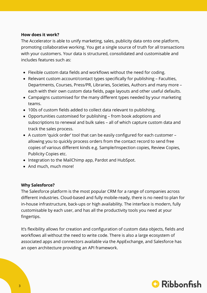#### **How does it work?**

The Accelerator is able to unify marketing, sales, publicity data onto one platform, promoting collaborative working. You get a single source of truth for all transactions with your customers. Your data is structured, consolidated and customisable and includes features such as:

- Flexible custom data fields and workflows without the need for coding.
- Relevant custom account/contact types specifically for publishing Faculties, Departments, Courses, Press/PR, Libraries, Societies, Authors and many more – each with their own custom data fields, page layouts and other useful defaults.
- Campaigns customised for the many different types needed by your marketing teams.
- 100s of custom fields added to collect data relevant to publishing.
- Opportunities customised for publishing from book adoptions and subscriptions to renewal and bulk sales – all of which capture custom data and track the sales process.
- A custom 'quick order' tool that can be easily configured for each customer allowing you to quickly process orders from the contact record to send free copies of various different kinds e.g. Sample/Inspection copies, Review Copies, Publicity Copies etc.
- Integration to the MailChimp app, Pardot and HubSpot.
- And much, much more!

#### **Why Salesforce?**

The Salesforce platform is the most popular CRM for a range of companies across different industries. Cloud-based and fully mobile-ready, there is no need to plan for in-house infrastructure, back-ups or high availability. The interface is modern, fully customisable by each user, and has all the productivity tools you need at your fingertips.

It's flexibility allows for creation and configuration of custom data objects, fields and workflows all without the need to write code. There is also a large ecosystem of associated apps and connectors available via the AppExchange, and Salesforce has an open architecture providing an API framework.

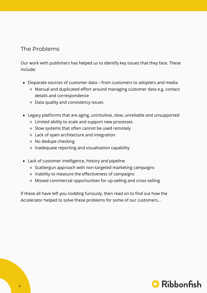## The Problems

Our work with publishers has helped us to identify key issues that they face. These include:

- Disparate sources of customer data from customers to adopters and media
	- Manual and duplicated effort around managing customer data e.g. contact details and correspondence
	- Data quality and consistency issues
- Legacy platforms that are aging, unintuitive, slow, unreliable and unsupported
	- Limited ability to scale and support new processes
	- o Slow systems that often cannot be used remotely
	- Lack of open architecture and integration
	- No dedupe checking
	- o Inadequate reporting and visualisation capability
- Lack of customer intelligence, history and pipeline
	- o Scattergun approach with non-targeted marketing campaigns
	- o Inability to measure the effectiveness of campaigns
	- Missed commercial opportunities for up-selling and cross-selling

If these all have left you nodding furiously, then read on to find out how the Accelerator helped to solve these problems for some of our customers…

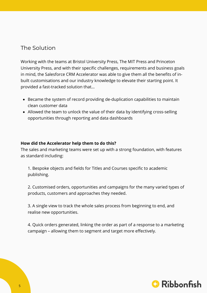## The Solution

Working with the teams at Bristol University Press, The MIT Press and Princeton University Press, and with their specific challenges, requirements and business goals in mind, the Salesforce CRM Accelerator was able to give them all the benefits of inbuilt customisations and our industry knowledge to elevate their starting point. It provided a fast-tracked solution that…

- Became the system of record providing de-duplication capabilities to maintain clean customer data
- Allowed the team to unlock the value of their data by identifying cross-selling opportunities through reporting and data dashboards

#### **How did the Accelerator help them to do this?**

The sales and marketing teams were set up with a strong foundation, with features as standard including:

1. Bespoke objects and fields for Titles and Courses specific to academic publishing.

2. Customised orders, opportunities and campaigns for the many varied types of products, customers and approaches they needed.

3. A single view to track the whole sales process from beginning to end, and realise new opportunities.

4. Quick orders generated, linking the order as part of a response to a marketing campaign – allowing them to segment and target more effectively.

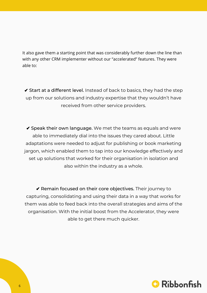It also gave them a starting point that was considerably further down the line than with any other CRM implementer without our "accelerated" features. They were able to:

✔ Start at a different level. Instead of back to basics, they had the step up from our solutions and industry expertise that they wouldn't have received from other service providers.

✔ Speak their own language. We met the teams as equals and were able to immediately dial into the issues they cared about. Little adaptations were needed to adjust for publishing or book marketing jargon, which enabled them to tap into our knowledge effectively and set up solutions that worked for their organisation in isolation and also within the industry as a whole.

✔ Remain focused on their core objectives. Their journey to capturing, consolidating and using their data in a way that works for them was able to feed back into the overall strategies and aims of the organisation. With the initial boost from the Accelerator, they were able to get there much quicker.

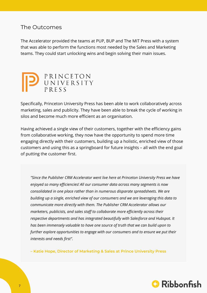## The Outcomes

The Accelerator provided the teams at PUP, BUP and The MIT Press with a system that was able to perform the functions most needed by the Sales and Marketing teams. They could start unlocking wins and begin solving their main issues.



Specifically, Princeton University Press has been able to work collaboratively across marketing, sales and publicity. They have been able to break the cycle of working in silos and become much more efficient as an organisation.

Having achieved a single view of their customers, together with the efficiency gains from collaborative working, they now have the opportunity to spend more time engaging directly with their customers, building up a holistic, enriched view of those customers and using this as a springboard for future insights – all with the end goal of putting the customer first.

*"Since the Publisher CRM Accelerator went live here at Princeton University Press we have enjoyed so many efficiencies! All our consumer data across many segments is now consolidated in one place rather than in numerous disparate spreadsheets. We are building up a single, enriched view of our consumers and we are leveraging this data to communicate more directly with them. The Publisher CRM Accelerator allows our marketers, publicists, and sales staff to collaborate more efficiently across their respective departments and has integrated beautifully with Salesforce and Hubspot. It has been immensely valuable to have one source of truth that we can build upon to further explore opportunities to engage with our consumers and to ensure we put their interests and needs first".*

**– Katie Hope, Director of Marketing & Sales at Prince University Press**

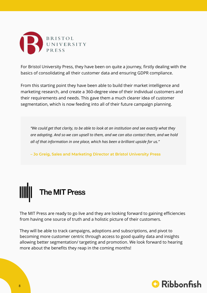

For Bristol University Press, they have been on quite a journey, firstly dealing with the basics of consolidating all their customer data and ensuring GDPR compliance.

From this starting point they have been able to build their market intelligence and marketing research, and create a 360-degree view of their individual customers and their requirements and needs. This gave them a much clearer idea of customer segmentation, which is now feeding into all of their future campaign planning.

*"We could get that clarity, to be able to look at an institution and see exactly what they are adopting. And so we can upsell to them, and we can also contact them, and we hold all of that information in one place, which has been a brilliant upside for us."*

**– Jo Greig, Sales and Marketing Director at Bristol University Press**



The MIT Press are ready to go live and they are looking forward to gaining efficiencies from having one source of truth and a holistic picture of their customers.

They will be able to track campaigns, adoptions and subscriptions, and pivot to becoming more customer centric through access to good quality data and insights allowing better segmentation/ targeting and promotion. We look forward to hearing more about the benefits they reap in the coming months!